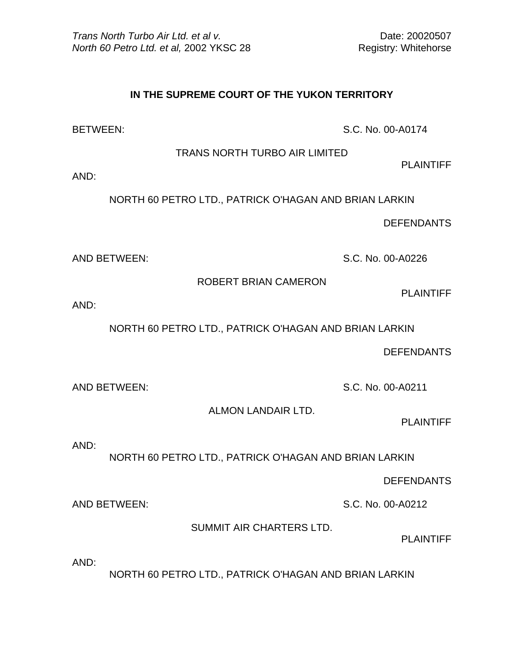## **IN THE SUPREME COURT OF THE YUKON TERRITORY**

BETWEEN: S.C. No. 00-A0174

TRANS NORTH TURBO AIR LIMITED

PLAINTIFF

AND:

NORTH 60 PETRO LTD., PATRICK O'HAGAN AND BRIAN LARKIN

DEFENDANTS

AND BETWEEN: S.C. No. 00-A0226

ROBERT BRIAN CAMERON

PLAINTIFF

AND:

NORTH 60 PETRO LTD., PATRICK O'HAGAN AND BRIAN LARKIN

DEFENDANTS

AND BETWEEN: S.C. No. 00-A0211

ALMON LANDAIR LTD.

PLAINTIFF

AND:

NORTH 60 PETRO LTD., PATRICK O'HAGAN AND BRIAN LARKIN

DEFENDANTS

AND BETWEEN: S.C. No. 00-A0212

SUMMIT AIR CHARTERS LTD.

PLAINTIFF

AND:

NORTH 60 PETRO LTD., PATRICK O'HAGAN AND BRIAN LARKIN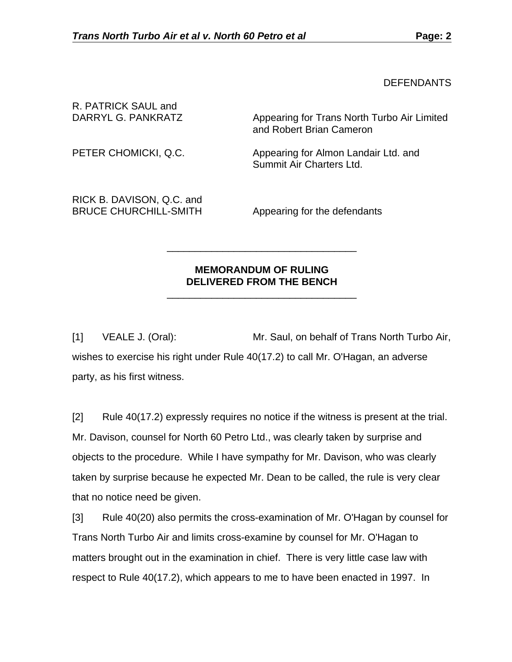**DEFENDANTS** 

| R. PATRICK SAUL and<br>DARRYL G. PANKRATZ | Appearing for Trans North Turbo Air Limited<br>and Robert Brian Cameron |
|-------------------------------------------|-------------------------------------------------------------------------|
| PETER CHOMICKI, Q.C.                      | Appearing for Almon Landair Ltd. and<br>Summit Air Charters Ltd.        |
| $DIVD$ DAVICON $\cap$ $\cap$ and          |                                                                         |

RICK B. DAVISON, Q.C. and BRUCE CHURCHILL-SMITH Appearing for the defendants

## **MEMORANDUM OF RULING DELIVERED FROM THE BENCH**

 $\frac{1}{\sqrt{2}}$  ,  $\frac{1}{\sqrt{2}}$  ,  $\frac{1}{\sqrt{2}}$  ,  $\frac{1}{\sqrt{2}}$  ,  $\frac{1}{\sqrt{2}}$  ,  $\frac{1}{\sqrt{2}}$  ,  $\frac{1}{\sqrt{2}}$  ,  $\frac{1}{\sqrt{2}}$  ,  $\frac{1}{\sqrt{2}}$  ,  $\frac{1}{\sqrt{2}}$  ,  $\frac{1}{\sqrt{2}}$  ,  $\frac{1}{\sqrt{2}}$  ,  $\frac{1}{\sqrt{2}}$  ,  $\frac{1}{\sqrt{2}}$  ,  $\frac{1}{\sqrt{2}}$ 

 $\frac{1}{\sqrt{2}}$  ,  $\frac{1}{\sqrt{2}}$  ,  $\frac{1}{\sqrt{2}}$  ,  $\frac{1}{\sqrt{2}}$  ,  $\frac{1}{\sqrt{2}}$  ,  $\frac{1}{\sqrt{2}}$  ,  $\frac{1}{\sqrt{2}}$  ,  $\frac{1}{\sqrt{2}}$  ,  $\frac{1}{\sqrt{2}}$  ,  $\frac{1}{\sqrt{2}}$  ,  $\frac{1}{\sqrt{2}}$  ,  $\frac{1}{\sqrt{2}}$  ,  $\frac{1}{\sqrt{2}}$  ,  $\frac{1}{\sqrt{2}}$  ,  $\frac{1}{\sqrt{2}}$ 

[1] VEALE J. (Oral): Mr. Saul, on behalf of Trans North Turbo Air, wishes to exercise his right under Rule 40(17.2) to call Mr. O'Hagan, an adverse party, as his first witness.

[2] Rule 40(17.2) expressly requires no notice if the witness is present at the trial. Mr. Davison, counsel for North 60 Petro Ltd., was clearly taken by surprise and objects to the procedure. While I have sympathy for Mr. Davison, who was clearly taken by surprise because he expected Mr. Dean to be called, the rule is very clear that no notice need be given.

[3] Rule 40(20) also permits the cross-examination of Mr. O'Hagan by counsel for Trans North Turbo Air and limits cross-examine by counsel for Mr. O'Hagan to matters brought out in the examination in chief. There is very little case law with respect to Rule 40(17.2), which appears to me to have been enacted in 1997. In